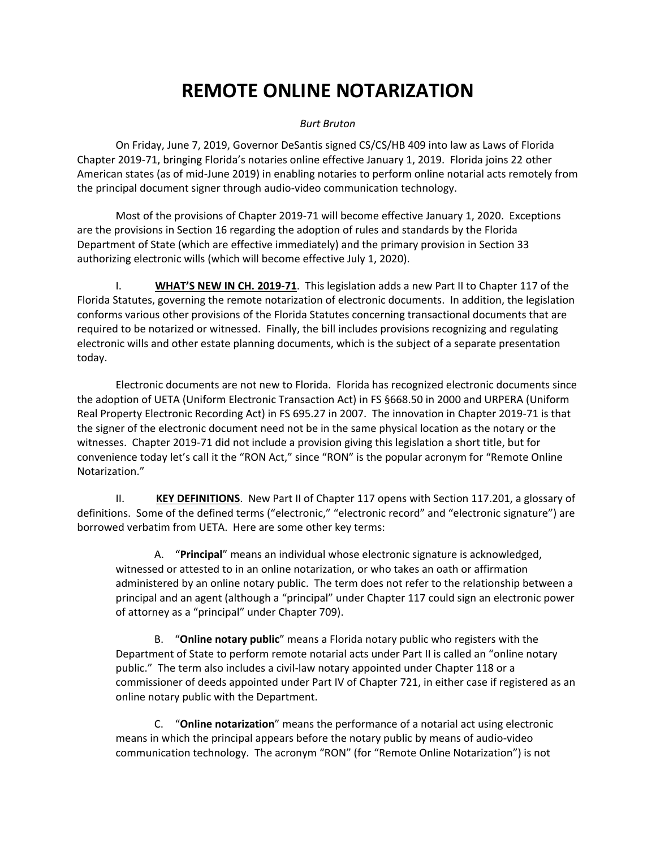## **REMOTE ONLINE NOTARIZATION**

## *Burt Bruton*

On Friday, June 7, 2019, Governor DeSantis signed CS/CS/HB 409 into law as Laws of Florida Chapter 2019-71, bringing Florida's notaries online effective January 1, 2019. Florida joins 22 other American states (as of mid-June 2019) in enabling notaries to perform online notarial acts remotely from the principal document signer through audio-video communication technology.

Most of the provisions of Chapter 2019-71 will become effective January 1, 2020. Exceptions are the provisions in Section 16 regarding the adoption of rules and standards by the Florida Department of State (which are effective immediately) and the primary provision in Section 33 authorizing electronic wills (which will become effective July 1, 2020).

I. **WHAT'S NEW IN CH. 2019-71**. This legislation adds a new Part II to Chapter 117 of the Florida Statutes, governing the remote notarization of electronic documents. In addition, the legislation conforms various other provisions of the Florida Statutes concerning transactional documents that are required to be notarized or witnessed. Finally, the bill includes provisions recognizing and regulating electronic wills and other estate planning documents, which is the subject of a separate presentation today.

Electronic documents are not new to Florida. Florida has recognized electronic documents since the adoption of UETA (Uniform Electronic Transaction Act) in FS §668.50 in 2000 and URPERA (Uniform Real Property Electronic Recording Act) in FS 695.27 in 2007. The innovation in Chapter 2019-71 is that the signer of the electronic document need not be in the same physical location as the notary or the witnesses. Chapter 2019-71 did not include a provision giving this legislation a short title, but for convenience today let's call it the "RON Act," since "RON" is the popular acronym for "Remote Online Notarization."

II. **KEY DEFINITIONS**. New Part II of Chapter 117 opens with Section 117.201, a glossary of definitions. Some of the defined terms ("electronic," "electronic record" and "electronic signature") are borrowed verbatim from UETA. Here are some other key terms:

A. "**Principal**" means an individual whose electronic signature is acknowledged, witnessed or attested to in an online notarization, or who takes an oath or affirmation administered by an online notary public. The term does not refer to the relationship between a principal and an agent (although a "principal" under Chapter 117 could sign an electronic power of attorney as a "principal" under Chapter 709).

B. "**Online notary public**" means a Florida notary public who registers with the Department of State to perform remote notarial acts under Part II is called an "online notary public." The term also includes a civil-law notary appointed under Chapter 118 or a commissioner of deeds appointed under Part IV of Chapter 721, in either case if registered as an online notary public with the Department.

C. "**Online notarization**" means the performance of a notarial act using electronic means in which the principal appears before the notary public by means of audio-video communication technology. The acronym "RON" (for "Remote Online Notarization") is not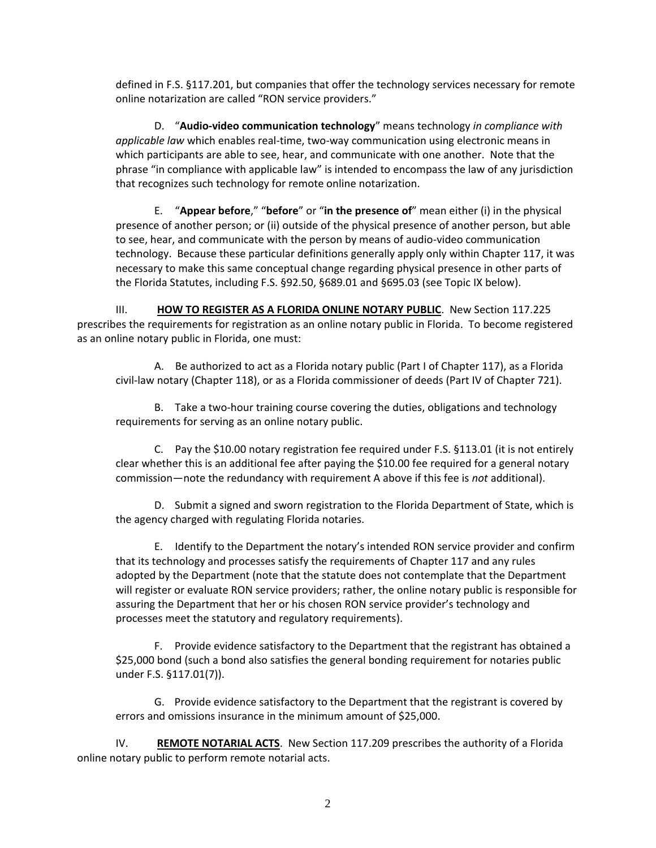defined in F.S. §117.201, but companies that offer the technology services necessary for remote online notarization are called "RON service providers."

D. "**Audio-video communication technology**" means technology *in compliance with applicable law* which enables real-time, two-way communication using electronic means in which participants are able to see, hear, and communicate with one another. Note that the phrase "in compliance with applicable law" is intended to encompass the law of any jurisdiction that recognizes such technology for remote online notarization.

E. "**Appear before**," "**before**" or "**in the presence of**" mean either (i) in the physical presence of another person; or (ii) outside of the physical presence of another person, but able to see, hear, and communicate with the person by means of audio-video communication technology. Because these particular definitions generally apply only within Chapter 117, it was necessary to make this same conceptual change regarding physical presence in other parts of the Florida Statutes, including F.S. §92.50, §689.01 and §695.03 (see Topic IX below).

III. **HOW TO REGISTER AS A FLORIDA ONLINE NOTARY PUBLIC**. New Section 117.225 prescribes the requirements for registration as an online notary public in Florida. To become registered as an online notary public in Florida, one must:

A. Be authorized to act as a Florida notary public (Part I of Chapter 117), as a Florida civil-law notary (Chapter 118), or as a Florida commissioner of deeds (Part IV of Chapter 721).

B. Take a two-hour training course covering the duties, obligations and technology requirements for serving as an online notary public.

C. Pay the \$10.00 notary registration fee required under F.S. §113.01 (it is not entirely clear whether this is an additional fee after paying the \$10.00 fee required for a general notary commission—note the redundancy with requirement A above if this fee is *not* additional).

D. Submit a signed and sworn registration to the Florida Department of State, which is the agency charged with regulating Florida notaries.

E. Identify to the Department the notary's intended RON service provider and confirm that its technology and processes satisfy the requirements of Chapter 117 and any rules adopted by the Department (note that the statute does not contemplate that the Department will register or evaluate RON service providers; rather, the online notary public is responsible for assuring the Department that her or his chosen RON service provider's technology and processes meet the statutory and regulatory requirements).

F. Provide evidence satisfactory to the Department that the registrant has obtained a \$25,000 bond (such a bond also satisfies the general bonding requirement for notaries public under F.S. §117.01(7)).

G. Provide evidence satisfactory to the Department that the registrant is covered by errors and omissions insurance in the minimum amount of \$25,000.

IV. **REMOTE NOTARIAL ACTS**. New Section 117.209 prescribes the authority of a Florida online notary public to perform remote notarial acts.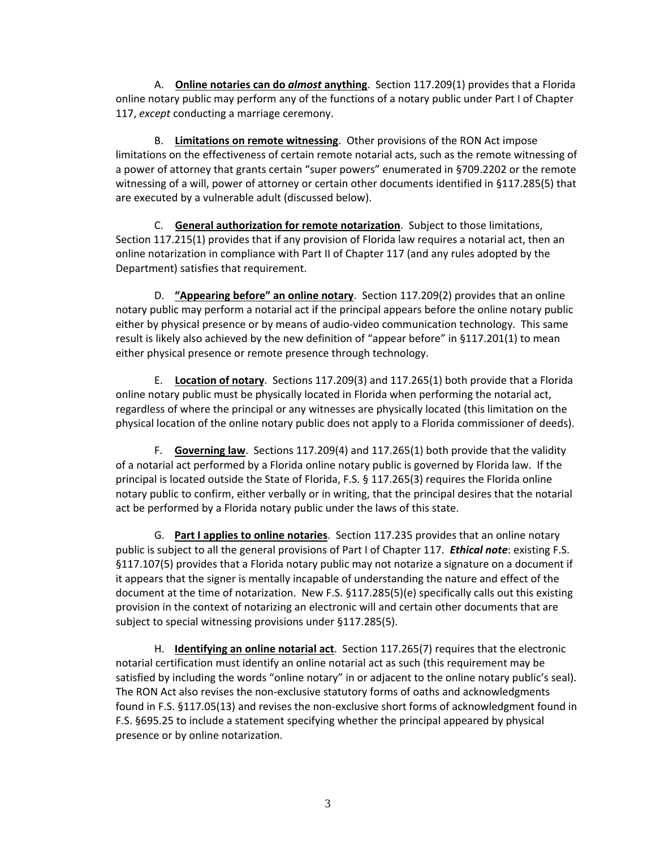A. **Online notaries can do** *almost* **anything**. Section 117.209(1) provides that a Florida online notary public may perform any of the functions of a notary public under Part I of Chapter 117, *except* conducting a marriage ceremony.

B. **Limitations on remote witnessing**. Other provisions of the RON Act impose limitations on the effectiveness of certain remote notarial acts, such as the remote witnessing of a power of attorney that grants certain "super powers" enumerated in §709.2202 or the remote witnessing of a will, power of attorney or certain other documents identified in §117.285(5) that are executed by a vulnerable adult (discussed below).

C. **General authorization for remote notarization**. Subject to those limitations, Section 117.215(1) provides that if any provision of Florida law requires a notarial act, then an online notarization in compliance with Part II of Chapter 117 (and any rules adopted by the Department) satisfies that requirement.

D. **"Appearing before" an online notary**. Section 117.209(2) provides that an online notary public may perform a notarial act if the principal appears before the online notary public either by physical presence or by means of audio-video communication technology. This same result is likely also achieved by the new definition of "appear before" in §117.201(1) to mean either physical presence or remote presence through technology.

E. **Location of notary**. Sections 117.209(3) and 117.265(1) both provide that a Florida online notary public must be physically located in Florida when performing the notarial act, regardless of where the principal or any witnesses are physically located (this limitation on the physical location of the online notary public does not apply to a Florida commissioner of deeds).

F. **Governing law**. Sections 117.209(4) and 117.265(1) both provide that the validity of a notarial act performed by a Florida online notary public is governed by Florida law. If the principal is located outside the State of Florida, F.S. § 117.265(3) requires the Florida online notary public to confirm, either verbally or in writing, that the principal desires that the notarial act be performed by a Florida notary public under the laws of this state.

G. **Part I applies to online notaries**. Section 117.235 provides that an online notary public is subject to all the general provisions of Part I of Chapter 117. *Ethical note*: existing F.S. §117.107(5) provides that a Florida notary public may not notarize a signature on a document if it appears that the signer is mentally incapable of understanding the nature and effect of the document at the time of notarization. New F.S. §117.285(5)(e) specifically calls out this existing provision in the context of notarizing an electronic will and certain other documents that are subject to special witnessing provisions under §117.285(5).

H. **Identifying an online notarial act**. Section 117.265(7) requires that the electronic notarial certification must identify an online notarial act as such (this requirement may be satisfied by including the words "online notary" in or adjacent to the online notary public's seal). The RON Act also revises the non-exclusive statutory forms of oaths and acknowledgments found in F.S. §117.05(13) and revises the non-exclusive short forms of acknowledgment found in F.S. §695.25 to include a statement specifying whether the principal appeared by physical presence or by online notarization.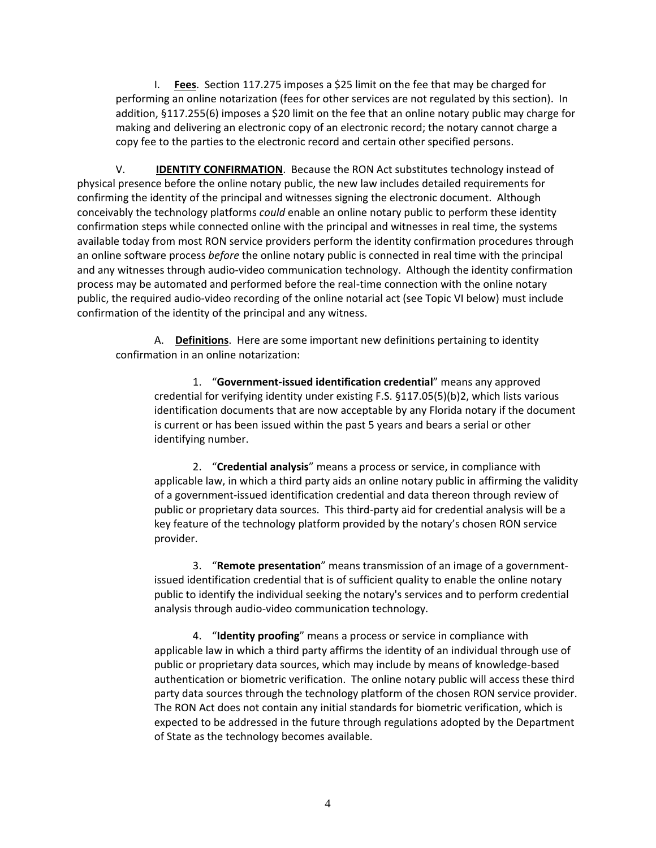I. **Fees**. Section 117.275 imposes a \$25 limit on the fee that may be charged for performing an online notarization (fees for other services are not regulated by this section). In addition, §117.255(6) imposes a \$20 limit on the fee that an online notary public may charge for making and delivering an electronic copy of an electronic record; the notary cannot charge a copy fee to the parties to the electronic record and certain other specified persons.

V. **IDENTITY CONFIRMATION**. Because the RON Act substitutes technology instead of physical presence before the online notary public, the new law includes detailed requirements for confirming the identity of the principal and witnesses signing the electronic document. Although conceivably the technology platforms *could* enable an online notary public to perform these identity confirmation steps while connected online with the principal and witnesses in real time, the systems available today from most RON service providers perform the identity confirmation procedures through an online software process *before* the online notary public is connected in real time with the principal and any witnesses through audio-video communication technology. Although the identity confirmation process may be automated and performed before the real-time connection with the online notary public, the required audio-video recording of the online notarial act (see Topic VI below) must include confirmation of the identity of the principal and any witness.

A. **Definitions**. Here are some important new definitions pertaining to identity confirmation in an online notarization:

1. "**Government-issued identification credential**" means any approved credential for verifying identity under existing F.S. §117.05(5)(b)2, which lists various identification documents that are now acceptable by any Florida notary if the document is current or has been issued within the past 5 years and bears a serial or other identifying number.

2. "**Credential analysis**" means a process or service, in compliance with applicable law, in which a third party aids an online notary public in affirming the validity of a government-issued identification credential and data thereon through review of public or proprietary data sources. This third-party aid for credential analysis will be a key feature of the technology platform provided by the notary's chosen RON service provider.

3. "**Remote presentation**" means transmission of an image of a governmentissued identification credential that is of sufficient quality to enable the online notary public to identify the individual seeking the notary's services and to perform credential analysis through audio-video communication technology.

4. "**Identity proofing**" means a process or service in compliance with applicable law in which a third party affirms the identity of an individual through use of public or proprietary data sources, which may include by means of knowledge-based authentication or biometric verification. The online notary public will access these third party data sources through the technology platform of the chosen RON service provider. The RON Act does not contain any initial standards for biometric verification, which is expected to be addressed in the future through regulations adopted by the Department of State as the technology becomes available.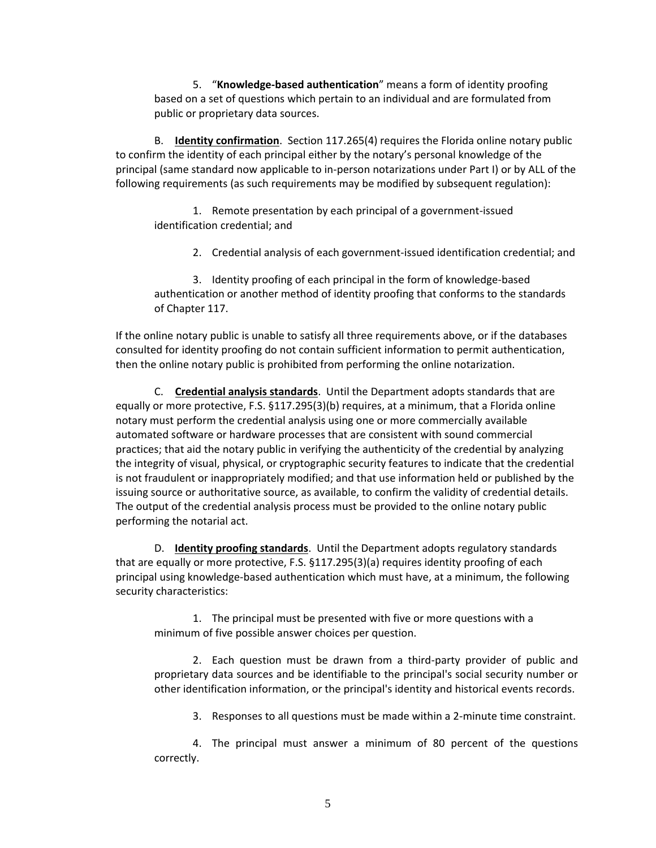5. "**Knowledge-based authentication**" means a form of identity proofing based on a set of questions which pertain to an individual and are formulated from public or proprietary data sources.

B. **Identity confirmation**. Section 117.265(4) requires the Florida online notary public to confirm the identity of each principal either by the notary's personal knowledge of the principal (same standard now applicable to in-person notarizations under Part I) or by ALL of the following requirements (as such requirements may be modified by subsequent regulation):

1. Remote presentation by each principal of a government-issued identification credential; and

2. Credential analysis of each government-issued identification credential; and

3. Identity proofing of each principal in the form of knowledge-based authentication or another method of identity proofing that conforms to the standards of Chapter 117.

If the online notary public is unable to satisfy all three requirements above, or if the databases consulted for identity proofing do not contain sufficient information to permit authentication, then the online notary public is prohibited from performing the online notarization.

C. **Credential analysis standards**. Until the Department adopts standards that are equally or more protective, F.S. §117.295(3)(b) requires, at a minimum, that a Florida online notary must perform the credential analysis using one or more commercially available automated software or hardware processes that are consistent with sound commercial practices; that aid the notary public in verifying the authenticity of the credential by analyzing the integrity of visual, physical, or cryptographic security features to indicate that the credential is not fraudulent or inappropriately modified; and that use information held or published by the issuing source or authoritative source, as available, to confirm the validity of credential details. The output of the credential analysis process must be provided to the online notary public performing the notarial act.

D. **Identity proofing standards**. Until the Department adopts regulatory standards that are equally or more protective, F.S. §117.295(3)(a) requires identity proofing of each principal using knowledge-based authentication which must have, at a minimum, the following security characteristics:

1. The principal must be presented with five or more questions with a minimum of five possible answer choices per question.

2. Each question must be drawn from a third-party provider of public and proprietary data sources and be identifiable to the principal's social security number or other identification information, or the principal's identity and historical events records.

3. Responses to all questions must be made within a 2-minute time constraint.

4. The principal must answer a minimum of 80 percent of the questions correctly.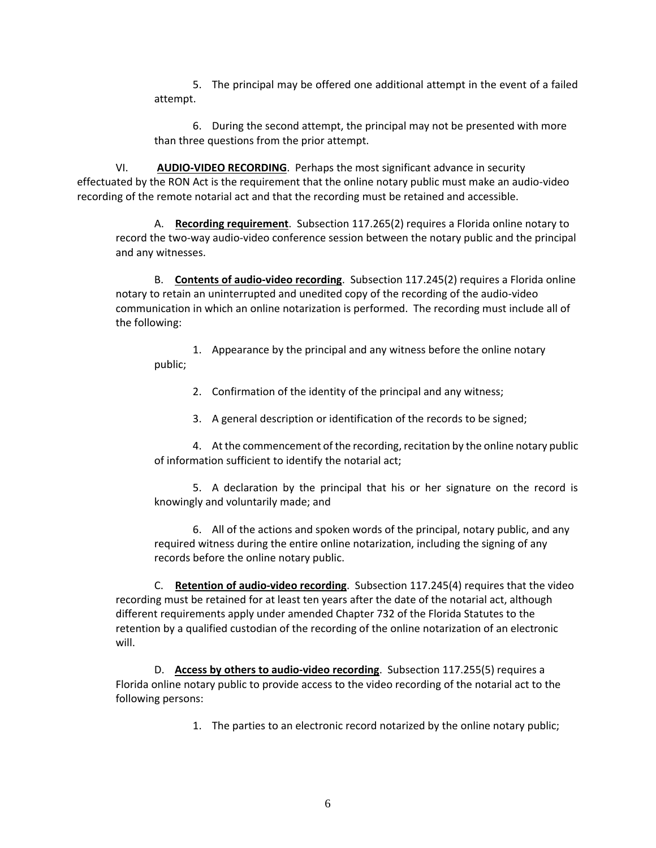5. The principal may be offered one additional attempt in the event of a failed attempt.

6. During the second attempt, the principal may not be presented with more than three questions from the prior attempt.

VI. **AUDIO-VIDEO RECORDING**. Perhaps the most significant advance in security effectuated by the RON Act is the requirement that the online notary public must make an audio-video recording of the remote notarial act and that the recording must be retained and accessible.

A. **Recording requirement**. Subsection 117.265(2) requires a Florida online notary to record the two-way audio-video conference session between the notary public and the principal and any witnesses.

B. **Contents of audio-video recording**. Subsection 117.245(2) requires a Florida online notary to retain an uninterrupted and unedited copy of the recording of the audio-video communication in which an online notarization is performed. The recording must include all of the following:

1. Appearance by the principal and any witness before the online notary public;

2. Confirmation of the identity of the principal and any witness;

3. A general description or identification of the records to be signed;

4. At the commencement of the recording, recitation by the online notary public of information sufficient to identify the notarial act;

5. A declaration by the principal that his or her signature on the record is knowingly and voluntarily made; and

6. All of the actions and spoken words of the principal, notary public, and any required witness during the entire online notarization, including the signing of any records before the online notary public.

C. **Retention of audio-video recording**. Subsection 117.245(4) requires that the video recording must be retained for at least ten years after the date of the notarial act, although different requirements apply under amended Chapter 732 of the Florida Statutes to the retention by a qualified custodian of the recording of the online notarization of an electronic will.

D. **Access by others to audio-video recording**. Subsection 117.255(5) requires a Florida online notary public to provide access to the video recording of the notarial act to the following persons:

1. The parties to an electronic record notarized by the online notary public;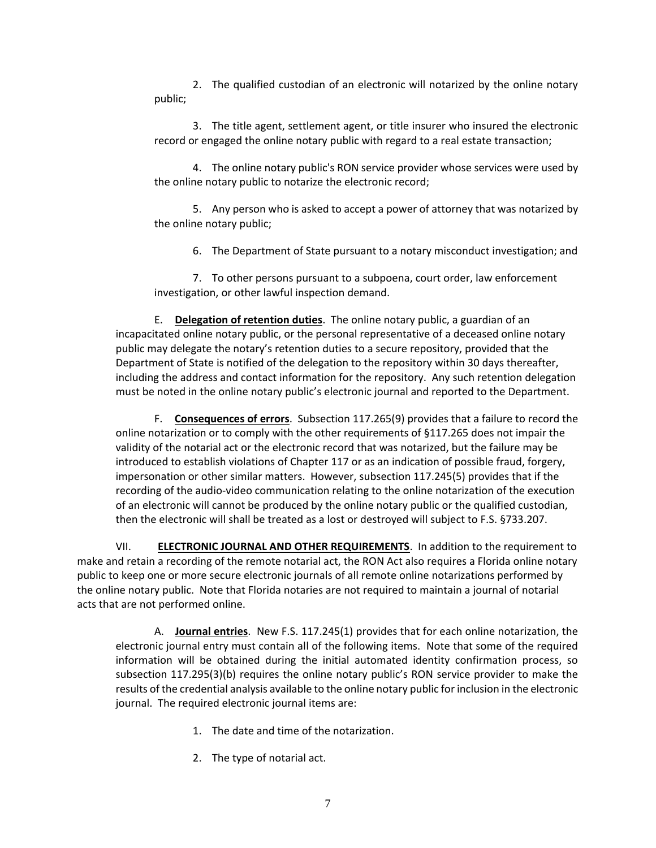2. The qualified custodian of an electronic will notarized by the online notary public;

3. The title agent, settlement agent, or title insurer who insured the electronic record or engaged the online notary public with regard to a real estate transaction;

4. The online notary public's RON service provider whose services were used by the online notary public to notarize the electronic record;

5. Any person who is asked to accept a power of attorney that was notarized by the online notary public;

6. The Department of State pursuant to a notary misconduct investigation; and

7. To other persons pursuant to a subpoena, court order, law enforcement investigation, or other lawful inspection demand.

E. **Delegation of retention duties**. The online notary public, a guardian of an incapacitated online notary public, or the personal representative of a deceased online notary public may delegate the notary's retention duties to a secure repository, provided that the Department of State is notified of the delegation to the repository within 30 days thereafter, including the address and contact information for the repository. Any such retention delegation must be noted in the online notary public's electronic journal and reported to the Department.

F. **Consequences of errors**. Subsection 117.265(9) provides that a failure to record the online notarization or to comply with the other requirements of §117.265 does not impair the validity of the notarial act or the electronic record that was notarized, but the failure may be introduced to establish violations of Chapter 117 or as an indication of possible fraud, forgery, impersonation or other similar matters. However, subsection 117.245(5) provides that if the recording of the audio-video communication relating to the online notarization of the execution of an electronic will cannot be produced by the online notary public or the qualified custodian, then the electronic will shall be treated as a lost or destroyed will subject to F.S. §733.207.

VII. **ELECTRONIC JOURNAL AND OTHER REQUIREMENTS**. In addition to the requirement to make and retain a recording of the remote notarial act, the RON Act also requires a Florida online notary public to keep one or more secure electronic journals of all remote online notarizations performed by the online notary public. Note that Florida notaries are not required to maintain a journal of notarial acts that are not performed online.

A. **Journal entries**. New F.S. 117.245(1) provides that for each online notarization, the electronic journal entry must contain all of the following items. Note that some of the required information will be obtained during the initial automated identity confirmation process, so subsection 117.295(3)(b) requires the online notary public's RON service provider to make the results of the credential analysis available to the online notary public for inclusion in the electronic journal. The required electronic journal items are:

- 1. The date and time of the notarization.
- 2. The type of notarial act.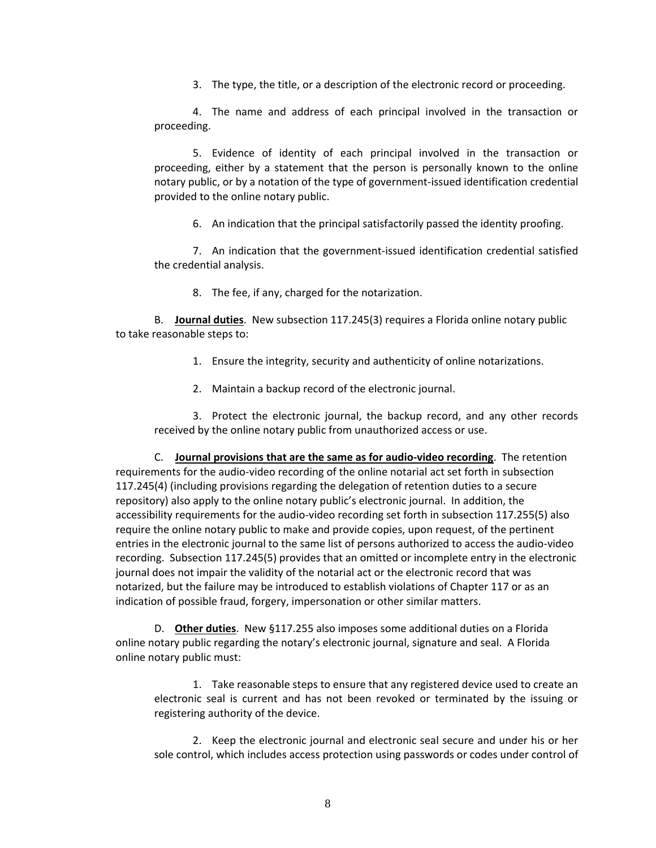3. The type, the title, or a description of the electronic record or proceeding.

4. The name and address of each principal involved in the transaction or proceeding.

5. Evidence of identity of each principal involved in the transaction or proceeding, either by a statement that the person is personally known to the online notary public, or by a notation of the type of government-issued identification credential provided to the online notary public.

6. An indication that the principal satisfactorily passed the identity proofing.

7. An indication that the government-issued identification credential satisfied the credential analysis.

8. The fee, if any, charged for the notarization.

B. **Journal duties**. New subsection 117.245(3) requires a Florida online notary public to take reasonable steps to:

1. Ensure the integrity, security and authenticity of online notarizations.

2. Maintain a backup record of the electronic journal.

3. Protect the electronic journal, the backup record, and any other records received by the online notary public from unauthorized access or use.

C. **Journal provisions that are the same as for audio-video recording**. The retention requirements for the audio-video recording of the online notarial act set forth in subsection 117.245(4) (including provisions regarding the delegation of retention duties to a secure repository) also apply to the online notary public's electronic journal. In addition, the accessibility requirements for the audio-video recording set forth in subsection 117.255(5) also require the online notary public to make and provide copies, upon request, of the pertinent entries in the electronic journal to the same list of persons authorized to access the audio-video recording. Subsection 117.245(5) provides that an omitted or incomplete entry in the electronic journal does not impair the validity of the notarial act or the electronic record that was notarized, but the failure may be introduced to establish violations of Chapter 117 or as an indication of possible fraud, forgery, impersonation or other similar matters.

D. **Other duties**. New §117.255 also imposes some additional duties on a Florida online notary public regarding the notary's electronic journal, signature and seal. A Florida online notary public must:

1. Take reasonable steps to ensure that any registered device used to create an electronic seal is current and has not been revoked or terminated by the issuing or registering authority of the device.

2. Keep the electronic journal and electronic seal secure and under his or her sole control, which includes access protection using passwords or codes under control of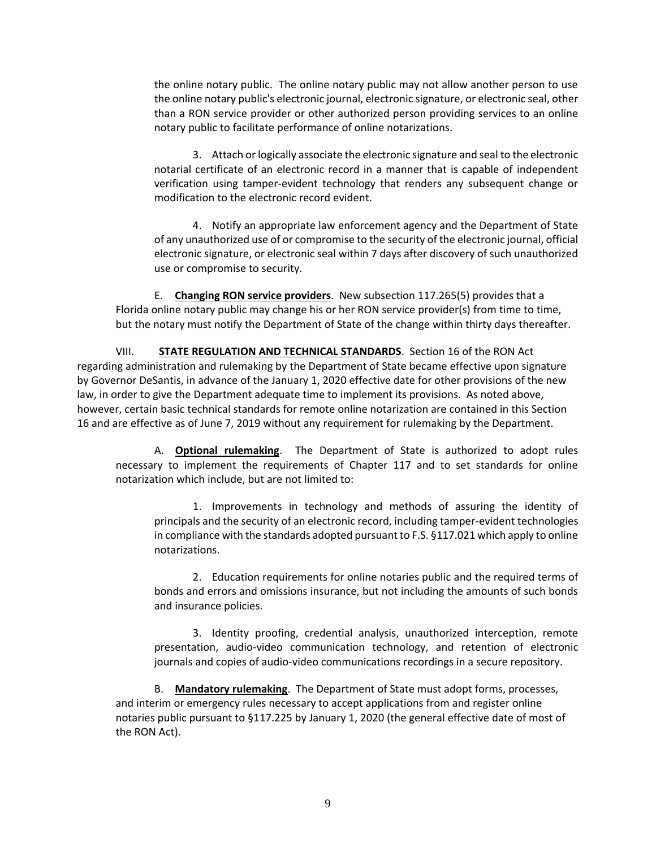the online notary public. The online notary public may not allow another person to use the online notary public's electronic journal, electronic signature, or electronic seal, other than a RON service provider or other authorized person providing services to an online notary public to facilitate performance of online notarizations.

3. Attach or logically associate the electronic signature and seal to the electronic notarial certificate of an electronic record in a manner that is capable of independent verification using tamper-evident technology that renders any subsequent change or modification to the electronic record evident.

4. Notify an appropriate law enforcement agency and the Department of State of any unauthorized use of or compromise to the security of the electronic journal, official electronic signature, or electronic seal within 7 days after discovery of such unauthorized use or compromise to security.

E. **Changing RON service providers**. New subsection 117.265(5) provides that a Florida online notary public may change his or her RON service provider(s) from time to time, but the notary must notify the Department of State of the change within thirty days thereafter.

VIII. **STATE REGULATION AND TECHNICAL STANDARDS**. Section 16 of the RON Act regarding administration and rulemaking by the Department of State became effective upon signature by Governor DeSantis, in advance of the January 1, 2020 effective date for other provisions of the new law, in order to give the Department adequate time to implement its provisions. As noted above, however, certain basic technical standards for remote online notarization are contained in this Section 16 and are effective as of June 7, 2019 without any requirement for rulemaking by the Department.

A. **Optional rulemaking**. The Department of State is authorized to adopt rules necessary to implement the requirements of Chapter 117 and to set standards for online notarization which include, but are not limited to:

1. Improvements in technology and methods of assuring the identity of principals and the security of an electronic record, including tamper-evident technologies in compliance with the standards adopted pursuant to F.S. §117.021 which apply to online notarizations.

2. Education requirements for online notaries public and the required terms of bonds and errors and omissions insurance, but not including the amounts of such bonds and insurance policies.

3. Identity proofing, credential analysis, unauthorized interception, remote presentation, audio-video communication technology, and retention of electronic journals and copies of audio-video communications recordings in a secure repository.

B. **Mandatory rulemaking**. The Department of State must adopt forms, processes, and interim or emergency rules necessary to accept applications from and register online notaries public pursuant to §117.225 by January 1, 2020 (the general effective date of most of the RON Act).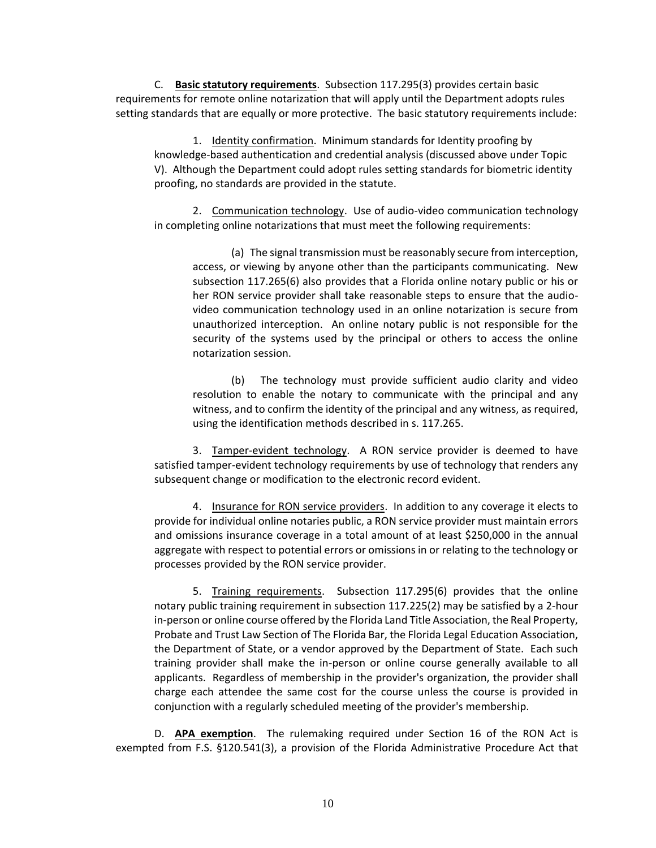C. **Basic statutory requirements**. Subsection 117.295(3) provides certain basic requirements for remote online notarization that will apply until the Department adopts rules setting standards that are equally or more protective. The basic statutory requirements include:

1. Identity confirmation. Minimum standards for Identity proofing by knowledge-based authentication and credential analysis (discussed above under Topic V). Although the Department could adopt rules setting standards for biometric identity proofing, no standards are provided in the statute.

2. Communication technology. Use of audio-video communication technology in completing online notarizations that must meet the following requirements:

(a) The signal transmission must be reasonably secure from interception, access, or viewing by anyone other than the participants communicating. New subsection 117.265(6) also provides that a Florida online notary public or his or her RON service provider shall take reasonable steps to ensure that the audiovideo communication technology used in an online notarization is secure from unauthorized interception. An online notary public is not responsible for the security of the systems used by the principal or others to access the online notarization session.

(b) The technology must provide sufficient audio clarity and video resolution to enable the notary to communicate with the principal and any witness, and to confirm the identity of the principal and any witness, as required, using the identification methods described in s. 117.265.

3. Tamper-evident technology. A RON service provider is deemed to have satisfied tamper-evident technology requirements by use of technology that renders any subsequent change or modification to the electronic record evident.

4. Insurance for RON service providers. In addition to any coverage it elects to provide for individual online notaries public, a RON service provider must maintain errors and omissions insurance coverage in a total amount of at least \$250,000 in the annual aggregate with respect to potential errors or omissions in or relating to the technology or processes provided by the RON service provider.

5. Training requirements. Subsection 117.295(6) provides that the online notary public training requirement in subsection 117.225(2) may be satisfied by a 2-hour in-person or online course offered by the Florida Land Title Association, the Real Property, Probate and Trust Law Section of The Florida Bar, the Florida Legal Education Association, the Department of State, or a vendor approved by the Department of State. Each such training provider shall make the in-person or online course generally available to all applicants. Regardless of membership in the provider's organization, the provider shall charge each attendee the same cost for the course unless the course is provided in conjunction with a regularly scheduled meeting of the provider's membership.

D. **APA exemption**. The rulemaking required under Section 16 of the RON Act is exempted from F.S. §120.541(3), a provision of the Florida Administrative Procedure Act that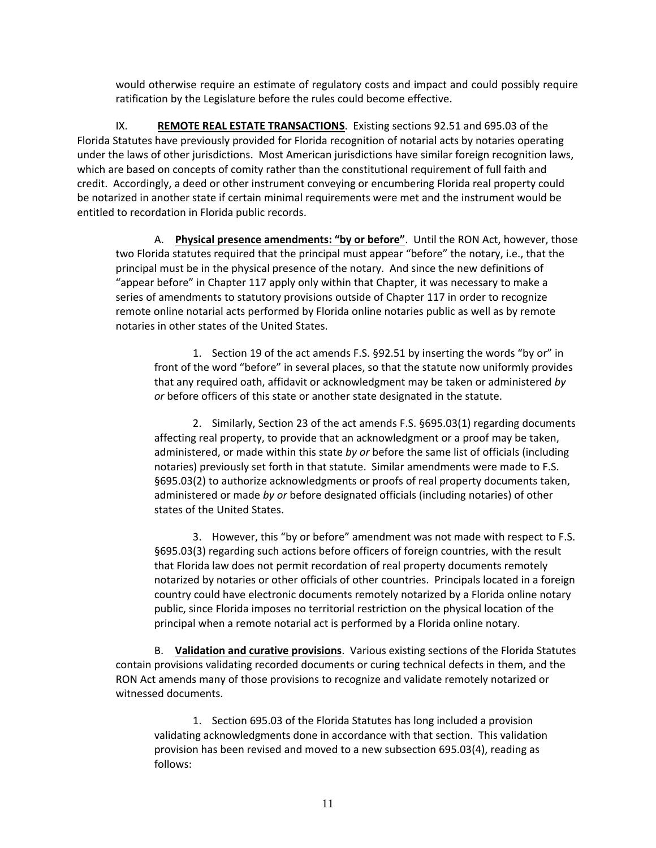would otherwise require an estimate of regulatory costs and impact and could possibly require ratification by the Legislature before the rules could become effective.

IX. **REMOTE REAL ESTATE TRANSACTIONS**. Existing sections 92.51 and 695.03 of the Florida Statutes have previously provided for Florida recognition of notarial acts by notaries operating under the laws of other jurisdictions. Most American jurisdictions have similar foreign recognition laws, which are based on concepts of comity rather than the constitutional requirement of full faith and credit. Accordingly, a deed or other instrument conveying or encumbering Florida real property could be notarized in another state if certain minimal requirements were met and the instrument would be entitled to recordation in Florida public records.

A. **Physical presence amendments: "by or before"**. Until the RON Act, however, those two Florida statutes required that the principal must appear "before" the notary, i.e., that the principal must be in the physical presence of the notary. And since the new definitions of "appear before" in Chapter 117 apply only within that Chapter, it was necessary to make a series of amendments to statutory provisions outside of Chapter 117 in order to recognize remote online notarial acts performed by Florida online notaries public as well as by remote notaries in other states of the United States.

1. Section 19 of the act amends F.S. §92.51 by inserting the words "by or" in front of the word "before" in several places, so that the statute now uniformly provides that any required oath, affidavit or acknowledgment may be taken or administered *by or* before officers of this state or another state designated in the statute.

2. Similarly, Section 23 of the act amends F.S. §695.03(1) regarding documents affecting real property, to provide that an acknowledgment or a proof may be taken, administered, or made within this state *by or* before the same list of officials (including notaries) previously set forth in that statute. Similar amendments were made to F.S. §695.03(2) to authorize acknowledgments or proofs of real property documents taken, administered or made *by or* before designated officials (including notaries) of other states of the United States.

3. However, this "by or before" amendment was not made with respect to F.S. §695.03(3) regarding such actions before officers of foreign countries, with the result that Florida law does not permit recordation of real property documents remotely notarized by notaries or other officials of other countries. Principals located in a foreign country could have electronic documents remotely notarized by a Florida online notary public, since Florida imposes no territorial restriction on the physical location of the principal when a remote notarial act is performed by a Florida online notary.

B. **Validation and curative provisions**. Various existing sections of the Florida Statutes contain provisions validating recorded documents or curing technical defects in them, and the RON Act amends many of those provisions to recognize and validate remotely notarized or witnessed documents.

1. Section 695.03 of the Florida Statutes has long included a provision validating acknowledgments done in accordance with that section. This validation provision has been revised and moved to a new subsection 695.03(4), reading as follows: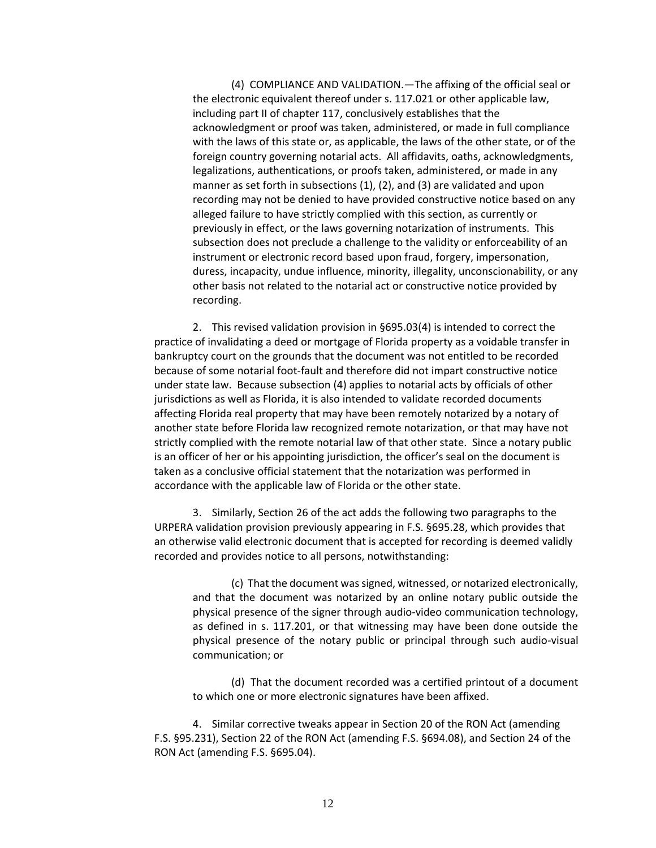(4) COMPLIANCE AND VALIDATION.—The affixing of the official seal or the electronic equivalent thereof under s. 117.021 or other applicable law, including part II of chapter 117, conclusively establishes that the acknowledgment or proof was taken, administered, or made in full compliance with the laws of this state or, as applicable, the laws of the other state, or of the foreign country governing notarial acts. All affidavits, oaths, acknowledgments, legalizations, authentications, or proofs taken, administered, or made in any manner as set forth in subsections (1), (2), and (3) are validated and upon recording may not be denied to have provided constructive notice based on any alleged failure to have strictly complied with this section, as currently or previously in effect, or the laws governing notarization of instruments. This subsection does not preclude a challenge to the validity or enforceability of an instrument or electronic record based upon fraud, forgery, impersonation, duress, incapacity, undue influence, minority, illegality, unconscionability, or any other basis not related to the notarial act or constructive notice provided by recording.

2. This revised validation provision in §695.03(4) is intended to correct the practice of invalidating a deed or mortgage of Florida property as a voidable transfer in bankruptcy court on the grounds that the document was not entitled to be recorded because of some notarial foot-fault and therefore did not impart constructive notice under state law. Because subsection (4) applies to notarial acts by officials of other jurisdictions as well as Florida, it is also intended to validate recorded documents affecting Florida real property that may have been remotely notarized by a notary of another state before Florida law recognized remote notarization, or that may have not strictly complied with the remote notarial law of that other state. Since a notary public is an officer of her or his appointing jurisdiction, the officer's seal on the document is taken as a conclusive official statement that the notarization was performed in accordance with the applicable law of Florida or the other state.

3. Similarly, Section 26 of the act adds the following two paragraphs to the URPERA validation provision previously appearing in F.S. §695.28, which provides that an otherwise valid electronic document that is accepted for recording is deemed validly recorded and provides notice to all persons, notwithstanding:

(c) That the document was signed, witnessed, or notarized electronically, and that the document was notarized by an online notary public outside the physical presence of the signer through audio-video communication technology, as defined in s. 117.201, or that witnessing may have been done outside the physical presence of the notary public or principal through such audio-visual communication; or

(d) That the document recorded was a certified printout of a document to which one or more electronic signatures have been affixed.

4. Similar corrective tweaks appear in Section 20 of the RON Act (amending F.S. §95.231), Section 22 of the RON Act (amending F.S. §694.08), and Section 24 of the RON Act (amending F.S. §695.04).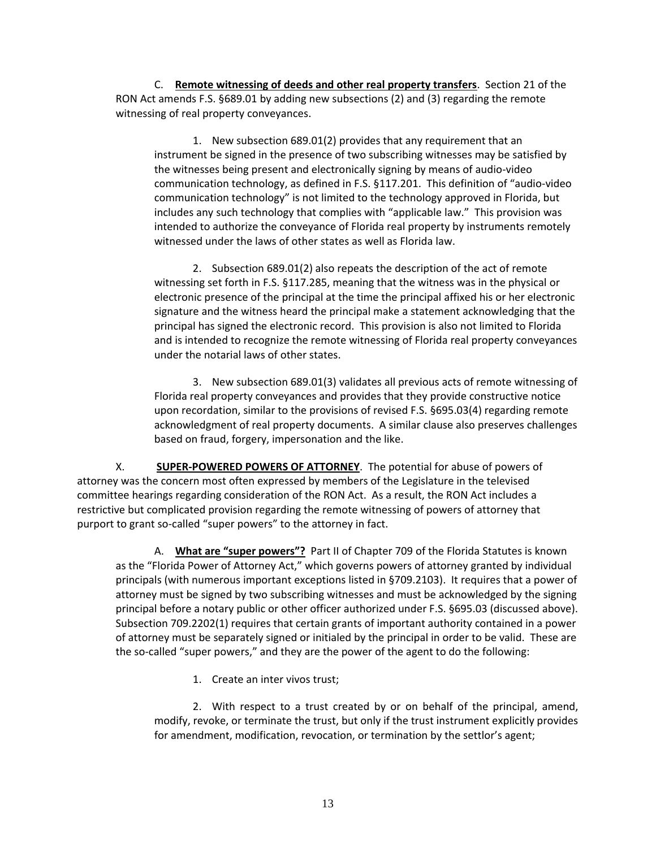C. **Remote witnessing of deeds and other real property transfers**. Section 21 of the RON Act amends F.S. §689.01 by adding new subsections (2) and (3) regarding the remote witnessing of real property conveyances.

1. New subsection 689.01(2) provides that any requirement that an instrument be signed in the presence of two subscribing witnesses may be satisfied by the witnesses being present and electronically signing by means of audio-video communication technology, as defined in F.S. §117.201. This definition of "audio-video communication technology" is not limited to the technology approved in Florida, but includes any such technology that complies with "applicable law." This provision was intended to authorize the conveyance of Florida real property by instruments remotely witnessed under the laws of other states as well as Florida law.

2. Subsection 689.01(2) also repeats the description of the act of remote witnessing set forth in F.S. §117.285, meaning that the witness was in the physical or electronic presence of the principal at the time the principal affixed his or her electronic signature and the witness heard the principal make a statement acknowledging that the principal has signed the electronic record. This provision is also not limited to Florida and is intended to recognize the remote witnessing of Florida real property conveyances under the notarial laws of other states.

3. New subsection 689.01(3) validates all previous acts of remote witnessing of Florida real property conveyances and provides that they provide constructive notice upon recordation, similar to the provisions of revised F.S. §695.03(4) regarding remote acknowledgment of real property documents. A similar clause also preserves challenges based on fraud, forgery, impersonation and the like.

X. **SUPER-POWERED POWERS OF ATTORNEY**. The potential for abuse of powers of attorney was the concern most often expressed by members of the Legislature in the televised committee hearings regarding consideration of the RON Act. As a result, the RON Act includes a restrictive but complicated provision regarding the remote witnessing of powers of attorney that purport to grant so-called "super powers" to the attorney in fact.

A. **What are "super powers"?** Part II of Chapter 709 of the Florida Statutes is known as the "Florida Power of Attorney Act," which governs powers of attorney granted by individual principals (with numerous important exceptions listed in §709.2103). It requires that a power of attorney must be signed by two subscribing witnesses and must be acknowledged by the signing principal before a notary public or other officer authorized under F.S. §695.03 (discussed above). Subsection 709.2202(1) requires that certain grants of important authority contained in a power of attorney must be separately signed or initialed by the principal in order to be valid. These are the so-called "super powers," and they are the power of the agent to do the following:

1. Create an inter vivos trust;

2. With respect to a trust created by or on behalf of the principal, amend, modify, revoke, or terminate the trust, but only if the trust instrument explicitly provides for amendment, modification, revocation, or termination by the settlor's agent;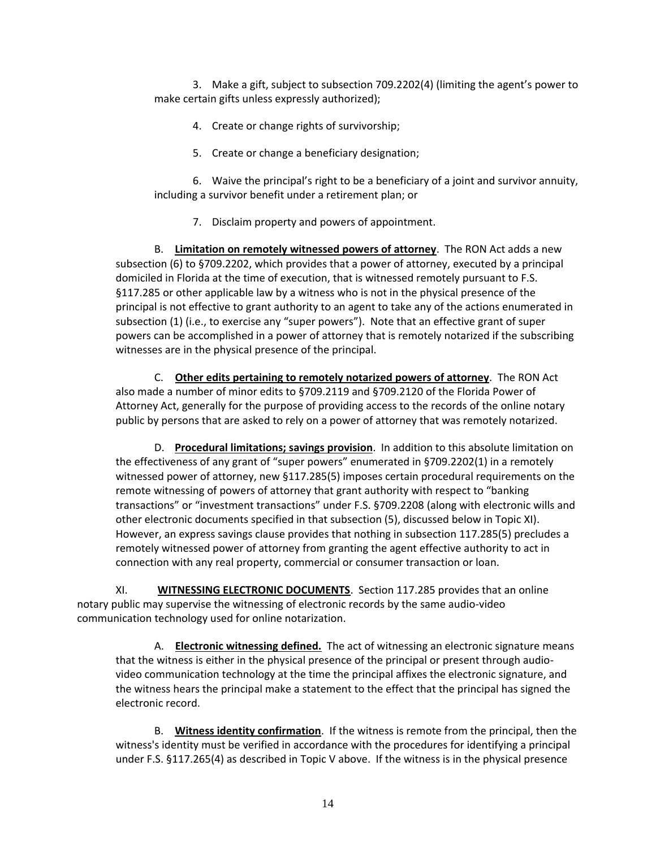3. Make a gift, subject to subsection 709.2202(4) (limiting the agent's power to make certain gifts unless expressly authorized);

- 4. Create or change rights of survivorship;
- 5. Create or change a beneficiary designation;

6. Waive the principal's right to be a beneficiary of a joint and survivor annuity, including a survivor benefit under a retirement plan; or

7. Disclaim property and powers of appointment.

B. **Limitation on remotely witnessed powers of attorney**. The RON Act adds a new subsection (6) to §709.2202, which provides that a power of attorney, executed by a principal domiciled in Florida at the time of execution, that is witnessed remotely pursuant to F.S. §117.285 or other applicable law by a witness who is not in the physical presence of the principal is not effective to grant authority to an agent to take any of the actions enumerated in subsection (1) (i.e., to exercise any "super powers"). Note that an effective grant of super powers can be accomplished in a power of attorney that is remotely notarized if the subscribing witnesses are in the physical presence of the principal.

C. **Other edits pertaining to remotely notarized powers of attorney**. The RON Act also made a number of minor edits to §709.2119 and §709.2120 of the Florida Power of Attorney Act, generally for the purpose of providing access to the records of the online notary public by persons that are asked to rely on a power of attorney that was remotely notarized.

D. **Procedural limitations; savings provision**. In addition to this absolute limitation on the effectiveness of any grant of "super powers" enumerated in §709.2202(1) in a remotely witnessed power of attorney, new §117.285(5) imposes certain procedural requirements on the remote witnessing of powers of attorney that grant authority with respect to "banking transactions" or "investment transactions" under F.S. §709.2208 (along with electronic wills and other electronic documents specified in that subsection (5), discussed below in Topic XI). However, an express savings clause provides that nothing in subsection 117.285(5) precludes a remotely witnessed power of attorney from granting the agent effective authority to act in connection with any real property, commercial or consumer transaction or loan.

XI. **WITNESSING ELECTRONIC DOCUMENTS**. Section 117.285 provides that an online notary public may supervise the witnessing of electronic records by the same audio-video communication technology used for online notarization.

A. **Electronic witnessing defined.** The act of witnessing an electronic signature means that the witness is either in the physical presence of the principal or present through audiovideo communication technology at the time the principal affixes the electronic signature, and the witness hears the principal make a statement to the effect that the principal has signed the electronic record.

B. **Witness identity confirmation**. If the witness is remote from the principal, then the witness's identity must be verified in accordance with the procedures for identifying a principal under F.S. §117.265(4) as described in Topic V above. If the witness is in the physical presence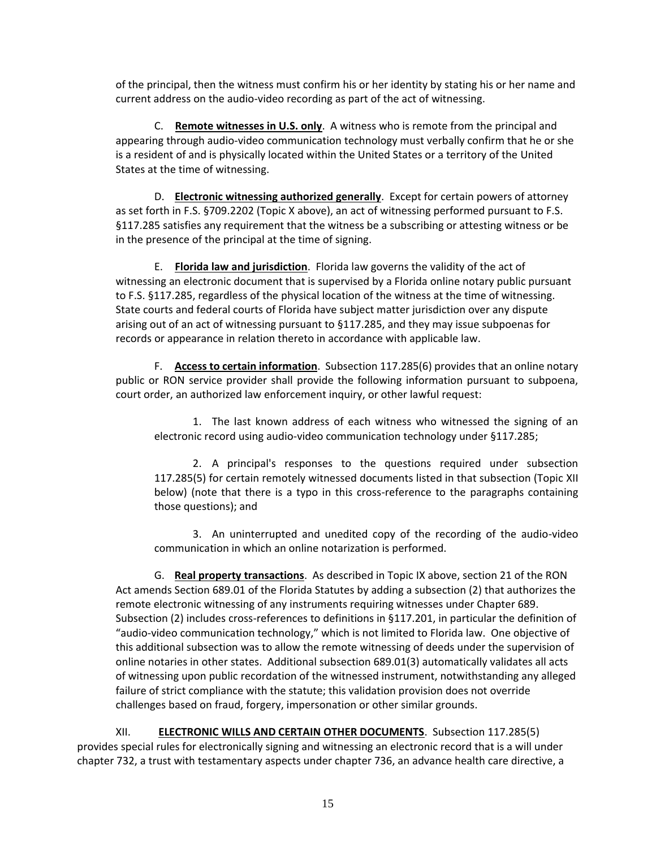of the principal, then the witness must confirm his or her identity by stating his or her name and current address on the audio-video recording as part of the act of witnessing.

C. **Remote witnesses in U.S. only**. A witness who is remote from the principal and appearing through audio-video communication technology must verbally confirm that he or she is a resident of and is physically located within the United States or a territory of the United States at the time of witnessing.

D. **Electronic witnessing authorized generally**. Except for certain powers of attorney as set forth in F.S. §709.2202 (Topic X above), an act of witnessing performed pursuant to F.S. §117.285 satisfies any requirement that the witness be a subscribing or attesting witness or be in the presence of the principal at the time of signing.

E. **Florida law and jurisdiction**. Florida law governs the validity of the act of witnessing an electronic document that is supervised by a Florida online notary public pursuant to F.S. §117.285, regardless of the physical location of the witness at the time of witnessing. State courts and federal courts of Florida have subject matter jurisdiction over any dispute arising out of an act of witnessing pursuant to §117.285, and they may issue subpoenas for records or appearance in relation thereto in accordance with applicable law.

F. **Access to certain information**. Subsection 117.285(6) provides that an online notary public or RON service provider shall provide the following information pursuant to subpoena, court order, an authorized law enforcement inquiry, or other lawful request:

1. The last known address of each witness who witnessed the signing of an electronic record using audio-video communication technology under §117.285;

2. A principal's responses to the questions required under subsection 117.285(5) for certain remotely witnessed documents listed in that subsection (Topic XII below) (note that there is a typo in this cross-reference to the paragraphs containing those questions); and

3. An uninterrupted and unedited copy of the recording of the audio-video communication in which an online notarization is performed.

G. **Real property transactions**. As described in Topic IX above, section 21 of the RON Act amends Section 689.01 of the Florida Statutes by adding a subsection (2) that authorizes the remote electronic witnessing of any instruments requiring witnesses under Chapter 689. Subsection (2) includes cross-references to definitions in §117.201, in particular the definition of "audio-video communication technology," which is not limited to Florida law. One objective of this additional subsection was to allow the remote witnessing of deeds under the supervision of online notaries in other states. Additional subsection 689.01(3) automatically validates all acts of witnessing upon public recordation of the witnessed instrument, notwithstanding any alleged failure of strict compliance with the statute; this validation provision does not override challenges based on fraud, forgery, impersonation or other similar grounds.

XII. **ELECTRONIC WILLS AND CERTAIN OTHER DOCUMENTS**. Subsection 117.285(5) provides special rules for electronically signing and witnessing an electronic record that is a will under chapter 732, a trust with testamentary aspects under chapter 736, an advance health care directive, a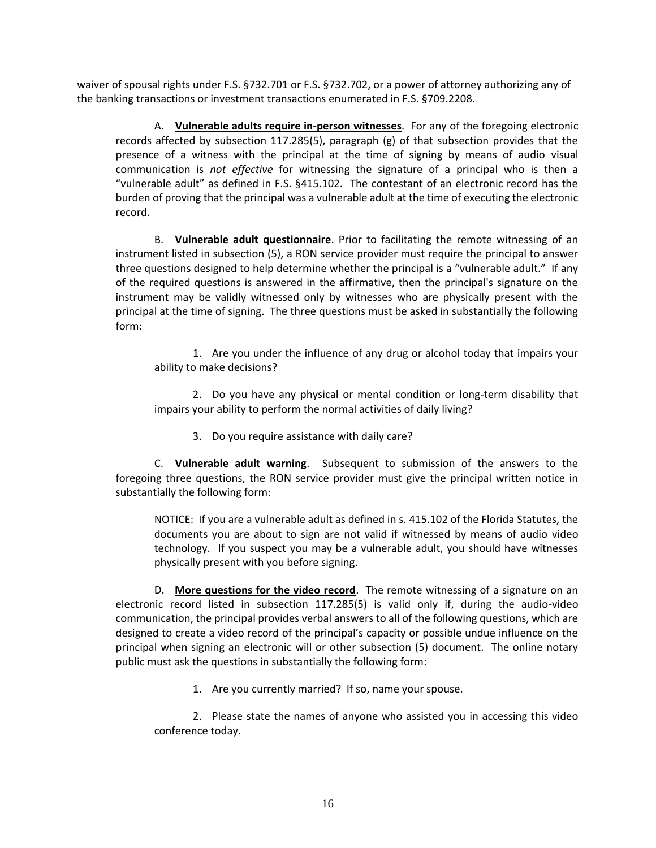waiver of spousal rights under F.S. §732.701 or F.S. §732.702, or a power of attorney authorizing any of the banking transactions or investment transactions enumerated in F.S. §709.2208.

A. **Vulnerable adults require in-person witnesses**. For any of the foregoing electronic records affected by subsection 117.285(5), paragraph (g) of that subsection provides that the presence of a witness with the principal at the time of signing by means of audio visual communication is *not effective* for witnessing the signature of a principal who is then a "vulnerable adult" as defined in F.S. §415.102. The contestant of an electronic record has the burden of proving that the principal was a vulnerable adult at the time of executing the electronic record.

B. **Vulnerable adult questionnaire**. Prior to facilitating the remote witnessing of an instrument listed in subsection (5), a RON service provider must require the principal to answer three questions designed to help determine whether the principal is a "vulnerable adult." If any of the required questions is answered in the affirmative, then the principal's signature on the instrument may be validly witnessed only by witnesses who are physically present with the principal at the time of signing. The three questions must be asked in substantially the following form:

1. Are you under the influence of any drug or alcohol today that impairs your ability to make decisions?

2. Do you have any physical or mental condition or long-term disability that impairs your ability to perform the normal activities of daily living?

3. Do you require assistance with daily care?

C. **Vulnerable adult warning**. Subsequent to submission of the answers to the foregoing three questions, the RON service provider must give the principal written notice in substantially the following form:

NOTICE: If you are a vulnerable adult as defined in s. 415.102 of the Florida Statutes, the documents you are about to sign are not valid if witnessed by means of audio video technology. If you suspect you may be a vulnerable adult, you should have witnesses physically present with you before signing.

D. **More questions for the video record**. The remote witnessing of a signature on an electronic record listed in subsection 117.285(5) is valid only if, during the audio-video communication, the principal provides verbal answers to all of the following questions, which are designed to create a video record of the principal's capacity or possible undue influence on the principal when signing an electronic will or other subsection (5) document. The online notary public must ask the questions in substantially the following form:

1. Are you currently married? If so, name your spouse.

2. Please state the names of anyone who assisted you in accessing this video conference today.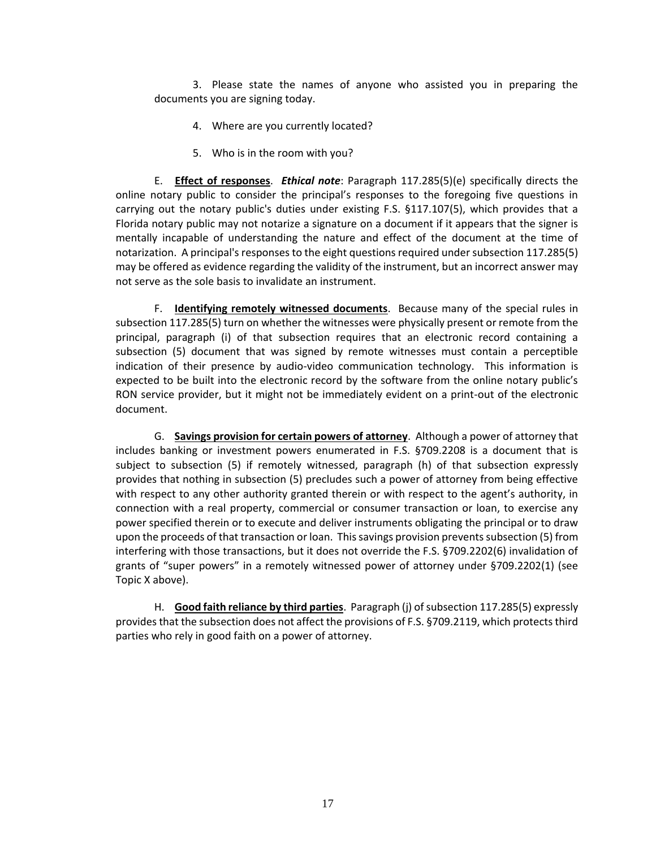3. Please state the names of anyone who assisted you in preparing the documents you are signing today.

- 4. Where are you currently located?
- 5. Who is in the room with you?

E. **Effect of responses**. *Ethical note*: Paragraph 117.285(5)(e) specifically directs the online notary public to consider the principal's responses to the foregoing five questions in carrying out the notary public's duties under existing F.S. §117.107(5), which provides that a Florida notary public may not notarize a signature on a document if it appears that the signer is mentally incapable of understanding the nature and effect of the document at the time of notarization. A principal's responses to the eight questions required under subsection 117.285(5) may be offered as evidence regarding the validity of the instrument, but an incorrect answer may not serve as the sole basis to invalidate an instrument.

F. **Identifying remotely witnessed documents**. Because many of the special rules in subsection 117.285(5) turn on whether the witnesses were physically present or remote from the principal, paragraph (i) of that subsection requires that an electronic record containing a subsection (5) document that was signed by remote witnesses must contain a perceptible indication of their presence by audio-video communication technology. This information is expected to be built into the electronic record by the software from the online notary public's RON service provider, but it might not be immediately evident on a print-out of the electronic document.

G. **Savings provision for certain powers of attorney**. Although a power of attorney that includes banking or investment powers enumerated in F.S. §709.2208 is a document that is subject to subsection (5) if remotely witnessed, paragraph (h) of that subsection expressly provides that nothing in subsection (5) precludes such a power of attorney from being effective with respect to any other authority granted therein or with respect to the agent's authority, in connection with a real property, commercial or consumer transaction or loan, to exercise any power specified therein or to execute and deliver instruments obligating the principal or to draw upon the proceeds of that transaction or loan. This savings provision prevents subsection (5) from interfering with those transactions, but it does not override the F.S. §709.2202(6) invalidation of grants of "super powers" in a remotely witnessed power of attorney under §709.2202(1) (see Topic X above).

H. **Good faith reliance by third parties**. Paragraph (j) of subsection 117.285(5) expressly provides that the subsection does not affect the provisions of F.S. §709.2119, which protects third parties who rely in good faith on a power of attorney.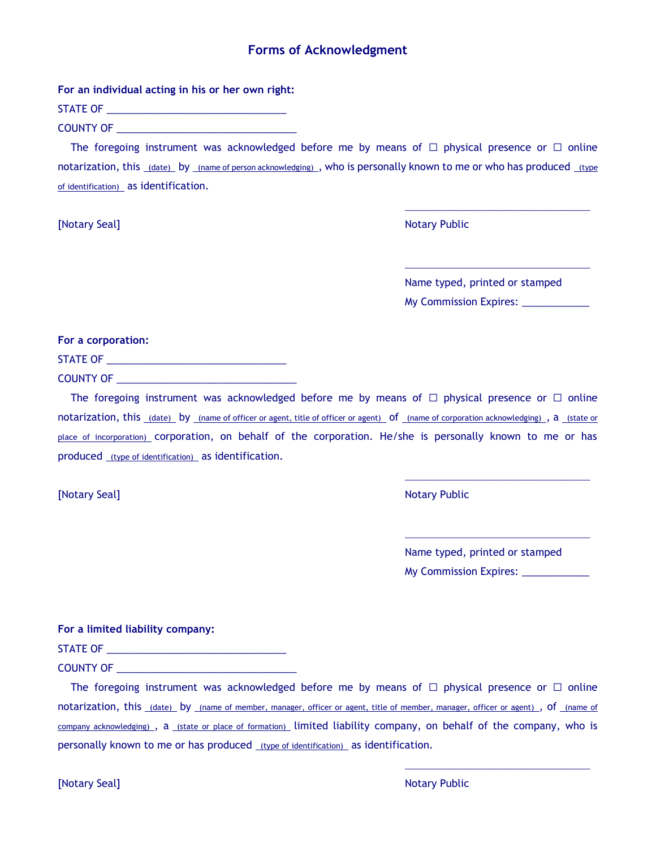## **Forms of Acknowledgment**

**For an individual acting in his or her own right:**

STATE OF **EXECUTE OF A STATE OF A STATE OF A STATE OF A STATE OF A STATE OF A STATE OF A STATE OF A STATE OF A ST** 

COUNTY OF **EXECUTE A** 

The foregoing instrument was acknowledged before me by means of  $\Box$  physical presence or  $\Box$  online notarization, this (date) by (name of person acknowledging) , who is personally known to me or who has produced (type of identification) as identification.

**[Notary Seal]** Notary Public Research Association of the Motor Public Research Association of the Motor Public Research Association of the Motor Public Research Association of the Motor Public Research Association of the

Name typed, printed or stamped My Commission Expires:

\_\_\_\_\_\_\_\_\_\_\_\_\_\_\_\_\_\_\_\_\_\_\_\_\_\_\_\_\_\_\_\_\_\_\_\_\_\_\_\_\_\_\_\_

\_\_\_\_\_\_\_\_\_\_\_\_\_\_\_\_\_\_\_\_\_\_\_\_\_\_\_\_\_\_\_\_\_\_\_\_\_\_\_\_\_\_\_\_

**For a corporation:**

STATE OF **EXECUTE OF A STATE OF A STATE OF A STATE OF A STATE OF A STATE OF A STATE OF A STATE OF A STATE OF A ST** 

COUNTY OF \_\_\_\_\_\_\_\_\_\_\_\_\_\_\_\_\_\_\_\_\_\_\_\_\_\_\_\_\_\_\_\_

The foregoing instrument was acknowledged before me by means of  $\Box$  physical presence or  $\Box$  online notarization, this (date) by (name of officer or agent, title of officer or agent) of (name of corporation acknowledging), a (state or place of incorporation) corporation, on behalf of the corporation. He/she is personally known to me or has produced (type of identification) as identification.

**[Notary Seal]** Notary Public Research 2012 12:30 Notary Public Research 2013 12:30 Notary Public Research 2013

Name typed, printed or stamped My Commission Expires: \_\_\_\_\_\_\_\_\_\_\_\_

\_\_\_\_\_\_\_\_\_\_\_\_\_\_\_\_\_\_\_\_\_\_\_\_\_\_\_\_\_\_\_\_\_\_\_\_\_\_\_\_\_\_\_\_

\_\_\_\_\_\_\_\_\_\_\_\_\_\_\_\_\_\_\_\_\_\_\_\_\_\_\_\_\_\_\_\_\_\_\_\_\_\_\_\_\_\_\_\_

\_\_\_\_\_\_\_\_\_\_\_\_\_\_\_\_\_\_\_\_\_\_\_\_\_\_\_\_\_\_\_\_\_\_\_\_\_\_\_\_\_\_\_\_

**For a limited liability company:**

STATE OF \_\_\_\_\_\_\_\_\_\_\_\_\_\_\_\_\_\_\_\_\_\_\_\_\_\_\_\_\_\_\_\_

COUNTY OF

The foregoing instrument was acknowledged before me by means of  $\Box$  physical presence or  $\Box$  online notarization, this (date) by (name of member, manager, officer or agent, title of member, manager, officer or agent), of (name of company acknowledging) , a (state or place of formation) limited liability company, on behalf of the company, who is personally known to me or has produced (type of identification) as identification.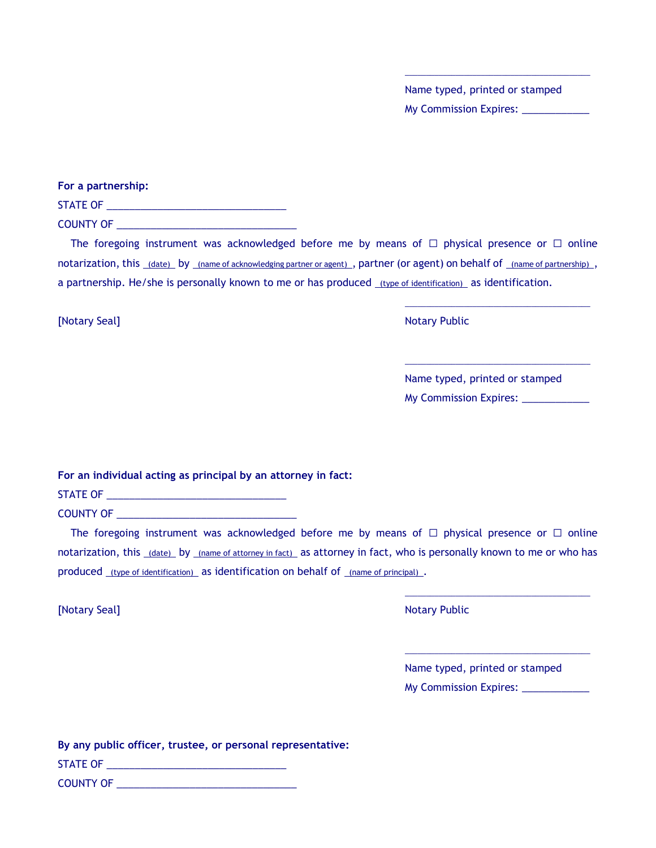Name typed, printed or stamped My Commission Expires: \_\_\_\_\_\_\_\_\_\_\_

\_\_\_\_\_\_\_\_\_\_\_\_\_\_\_\_\_\_\_\_\_\_\_\_\_\_\_\_\_\_\_\_\_\_\_\_\_\_\_\_\_\_\_\_

**For a partnership:**

STATE OF \_\_\_\_\_\_\_\_\_\_\_\_\_\_\_\_\_\_\_\_\_\_\_\_\_\_\_\_\_\_\_\_ COUNTY OF \_\_\_\_\_\_\_\_\_\_\_\_\_\_\_\_\_\_\_\_\_\_\_\_\_\_\_\_\_\_\_\_

The foregoing instrument was acknowledged before me by means of  $\Box$  physical presence or  $\Box$  online notarization, this (date) by (name of acknowledging partner or agent), partner (or agent) on behalf of (name of partnership), a partnership. He/she is personally known to me or has produced (type of identification) as identification.

**[Notary Seal]** Notary Public Research 2012 12:30 Notary Public Research 2013 12:30 Notary Public Research 2013

| Name typed, printed or stamped |  |
|--------------------------------|--|
| <b>My Commission Expires:</b>  |  |

\_\_\_\_\_\_\_\_\_\_\_\_\_\_\_\_\_\_\_\_\_\_\_\_\_\_\_\_\_\_\_\_\_\_\_\_\_\_\_\_\_\_\_\_

\_\_\_\_\_\_\_\_\_\_\_\_\_\_\_\_\_\_\_\_\_\_\_\_\_\_\_\_\_\_\_\_\_\_\_\_\_\_\_\_\_\_\_\_

**For an individual acting as principal by an attorney in fact:**

STATE OF **EXECUTE OF A STATE OF A STATE OF A STATE OF A STATE OF A STATE OF A STATE OF A STATE OF A STATE OF A ST** 

COUNTY OF **EXECUTE A** 

The foregoing instrument was acknowledged before me by means of  $\Box$  physical presence or  $\Box$  online notarization, this (date) by (name of attorney in fact) as attorney in fact, who is personally known to me or who has produced (type of identification) as identification on behalf of (name of principal).

**[Notary Seal]** Notary Public Research 2012 12:30 Notary Public Research 2013 12:30 Notary Public Research 2013

| Name typed, printed or stamped |  |
|--------------------------------|--|
| <b>My Commission Expires:</b>  |  |

\_\_\_\_\_\_\_\_\_\_\_\_\_\_\_\_\_\_\_\_\_\_\_\_\_\_\_\_\_\_\_\_\_\_\_\_\_\_\_\_\_\_\_\_

\_\_\_\_\_\_\_\_\_\_\_\_\_\_\_\_\_\_\_\_\_\_\_\_\_\_\_\_\_\_\_\_\_\_\_\_\_\_\_\_\_\_\_\_

| By any public officer, trustee, or personal representative: |  |
|-------------------------------------------------------------|--|
| STATE OF                                                    |  |
| <b>COUNTY OF</b>                                            |  |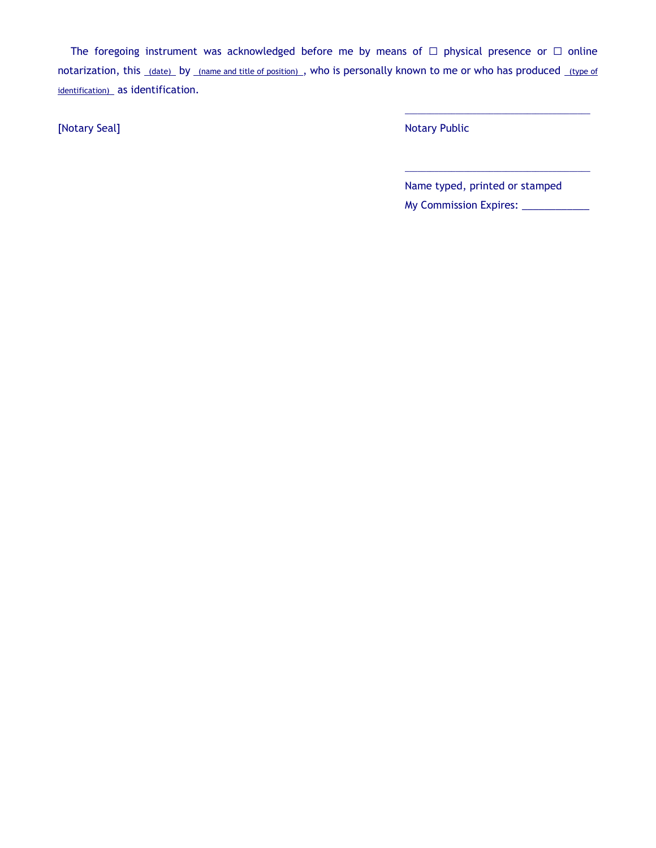The foregoing instrument was acknowledged before me by means of  $\Box$  physical presence or  $\Box$  online notarization, this (date) by (name and title of position), who is personally known to me or who has produced (type of identification) as identification.

[Notary Seal] Notary Seal] **Notary Seal** Sea Notary Public Research 2012 12:00 Notary Public

Name typed, printed or stamped My Commission Expires: \_\_\_\_\_\_\_\_\_\_\_\_\_

\_\_\_\_\_\_\_\_\_\_\_\_\_\_\_\_\_\_\_\_\_\_\_\_\_\_\_\_\_\_\_\_\_\_\_\_\_\_\_\_\_\_\_\_

\_\_\_\_\_\_\_\_\_\_\_\_\_\_\_\_\_\_\_\_\_\_\_\_\_\_\_\_\_\_\_\_\_\_\_\_\_\_\_\_\_\_\_\_